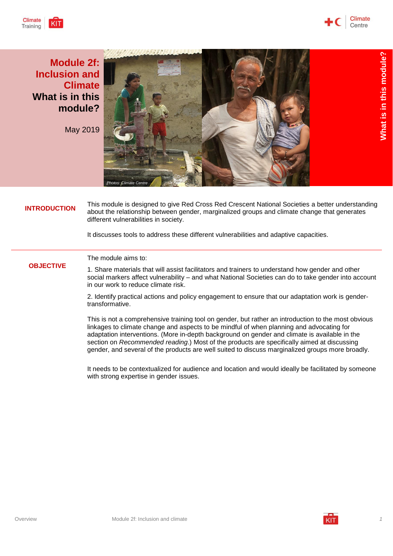



**Module 2f: Inclusion and Climate What is in this module?**

May 2019



**INTRODUCTION** This module is designed to give Red Cross Red Crescent National Societies a better understanding about the relationship between gender, marginalized groups and climate change that generates different vulnerabilities in society.

It discusses tools to address these different vulnerabilities and adaptive capacities.

#### **OBJECTIVE** The module aims to:

1. Share materials that will assist facilitators and trainers to understand how gender and other social markers affect vulnerability – and what National Societies can do to take gender into account in our work to reduce climate risk.

2. Identify practical actions and policy engagement to ensure that our adaptation work is gendertransformative.

This is not a comprehensive training tool on gender, but rather an introduction to the most obvious linkages to climate change and aspects to be mindful of when planning and advocating for adaptation interventions. (More in-depth background on gender and climate is available in the section on *Recommended reading*.) Most of the products are specifically aimed at discussing gender, and several of the products are well suited to discuss marginalized groups more broadly.

It needs to be contextualized for audience and location and would ideally be facilitated by someone with strong expertise in gender issues.